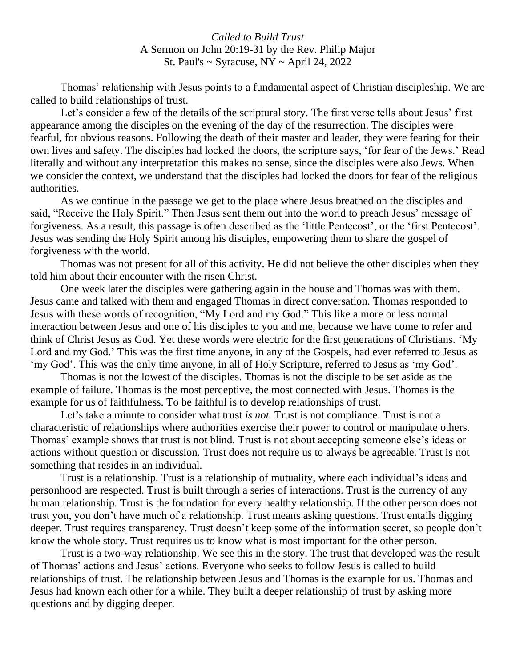*Called to Build Trust* A Sermon on John 20:19-31 by the Rev. Philip Major St. Paul's  $\sim$  Syracuse, NY  $\sim$  April 24, 2022

Thomas' relationship with Jesus points to a fundamental aspect of Christian discipleship. We are called to build relationships of trust.

Let's consider a few of the details of the scriptural story. The first verse tells about Jesus' first appearance among the disciples on the evening of the day of the resurrection. The disciples were fearful, for obvious reasons. Following the death of their master and leader, they were fearing for their own lives and safety. The disciples had locked the doors, the scripture says, 'for fear of the Jews.' Read literally and without any interpretation this makes no sense, since the disciples were also Jews. When we consider the context, we understand that the disciples had locked the doors for fear of the religious authorities.

As we continue in the passage we get to the place where Jesus breathed on the disciples and said, "Receive the Holy Spirit." Then Jesus sent them out into the world to preach Jesus' message of forgiveness. As a result, this passage is often described as the 'little Pentecost', or the 'first Pentecost'. Jesus was sending the Holy Spirit among his disciples, empowering them to share the gospel of forgiveness with the world.

Thomas was not present for all of this activity. He did not believe the other disciples when they told him about their encounter with the risen Christ.

One week later the disciples were gathering again in the house and Thomas was with them. Jesus came and talked with them and engaged Thomas in direct conversation. Thomas responded to Jesus with these words of recognition, "My Lord and my God." This like a more or less normal interaction between Jesus and one of his disciples to you and me, because we have come to refer and think of Christ Jesus as God. Yet these words were electric for the first generations of Christians. 'My Lord and my God.' This was the first time anyone, in any of the Gospels, had ever referred to Jesus as 'my God'. This was the only time anyone, in all of Holy Scripture, referred to Jesus as 'my God'.

Thomas is not the lowest of the disciples. Thomas is not the disciple to be set aside as the example of failure. Thomas is the most perceptive, the most connected with Jesus. Thomas is the example for us of faithfulness. To be faithful is to develop relationships of trust.

Let's take a minute to consider what trust *is not.* Trust is not compliance. Trust is not a characteristic of relationships where authorities exercise their power to control or manipulate others. Thomas' example shows that trust is not blind. Trust is not about accepting someone else's ideas or actions without question or discussion. Trust does not require us to always be agreeable. Trust is not something that resides in an individual.

Trust is a relationship. Trust is a relationship of mutuality, where each individual's ideas and personhood are respected. Trust is built through a series of interactions. Trust is the currency of any human relationship. Trust is the foundation for every healthy relationship. If the other person does not trust you, you don't have much of a relationship. Trust means asking questions. Trust entails digging deeper. Trust requires transparency. Trust doesn't keep some of the information secret, so people don't know the whole story. Trust requires us to know what is most important for the other person.

Trust is a two-way relationship. We see this in the story. The trust that developed was the result of Thomas' actions and Jesus' actions. Everyone who seeks to follow Jesus is called to build relationships of trust. The relationship between Jesus and Thomas is the example for us. Thomas and Jesus had known each other for a while. They built a deeper relationship of trust by asking more questions and by digging deeper.